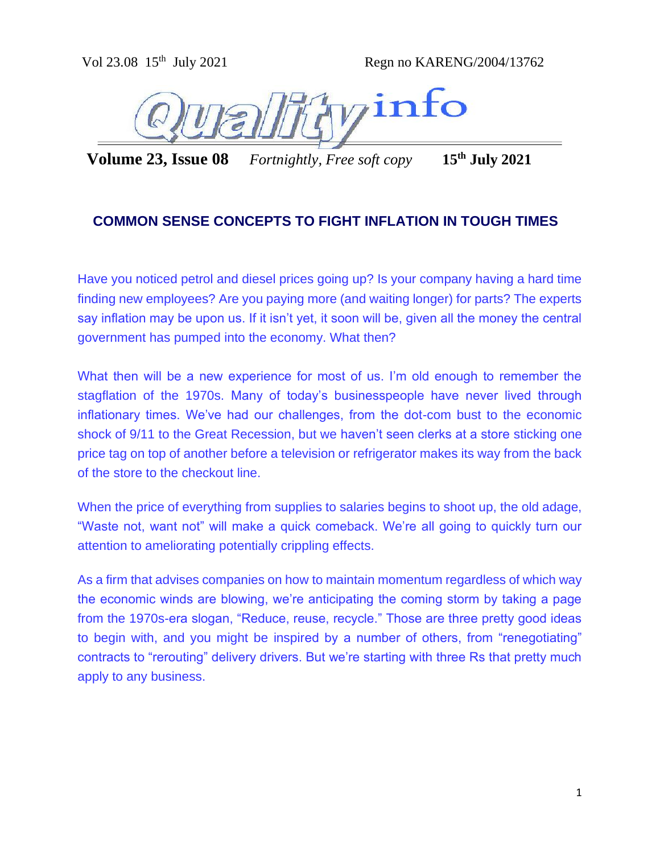**Volume 23, Issue 08** *Fortnightly, Free soft copy* **15th July 2021**

# **COMMON SENSE CONCEPTS TO FIGHT INFLATION IN TOUGH TIMES**

Have you noticed petrol and diesel prices going up? Is your company having a hard time finding new employees? Are you paying more (and waiting longer) for parts? The experts say inflation may be upon us. If it isn't yet, it soon will be, given all the money the central government has pumped into the economy. What then?

What then will be a new experience for most of us. I'm old enough to remember the stagflation of the 1970s. Many of today's businesspeople have never lived through inflationary times. We've had our challenges, from the dot-com bust to the economic shock of 9/11 to the Great Recession, but we haven't seen clerks at a store sticking one price tag on top of another before a television or refrigerator makes its way from the back of the store to the checkout line.

When the price of everything from supplies to salaries begins to shoot up, the old adage, "Waste not, want not" will make a quick comeback. We're all going to quickly turn our attention to ameliorating potentially crippling effects.

As a firm that advises companies on how to maintain momentum regardless of which way the economic winds are blowing, we're anticipating the coming storm by taking a page from the 1970s-era slogan, "Reduce, reuse, recycle." Those are three pretty good ideas to begin with, and you might be inspired by a number of others, from "renegotiating" contracts to "rerouting" delivery drivers. But we're starting with three Rs that pretty much apply to any business.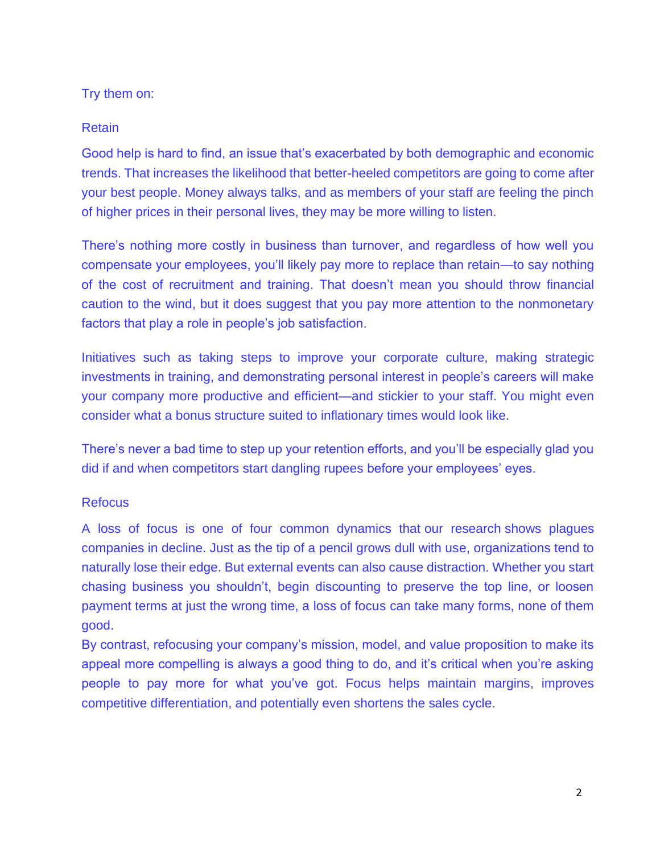## Try them on:

## Retain

Good help is hard to find, an issue that's exacerbated by both demographic and economic trends. That increases the likelihood that better-heeled competitors are going to come after your best people. Money always talks, and as members of your staff are feeling the pinch of higher prices in their personal lives, they may be more willing to listen.

There's nothing more costly in business than turnover, and regardless of how well you compensate your employees, you'll likely pay more to replace than retain—to say nothing of the cost of recruitment and training. That doesn't mean you should throw financial caution to the wind, but it does suggest that you pay more attention to the nonmonetary factors that play a role in people's job satisfaction.

Initiatives such as taking steps to improve your corporate culture, making strategic investments in training, and demonstrating personal interest in people's careers will make your company more productive and efficient—and stickier to your staff. You might even consider what a bonus structure suited to inflationary times would look like.

There's never a bad time to step up your retention efforts, and you'll be especially glad you did if and when competitors start dangling rupees before your employees' eyes.

#### **Refocus**

A loss of focus is one of four common dynamics that [our research](https://www.amazon.com/When-Growth-Stalls-Happens-Youre/dp/0470395702/ref=sr_1_1?s=books&ie=UTF8&qid=1417812464&sr=1-1&keywords=when+growth+stalls) shows plagues companies in decline. Just as the tip of a pencil grows dull with use, organizations tend to naturally lose their edge. But external events can also cause distraction. Whether you start chasing business you shouldn't, begin discounting to preserve the top line, or loosen payment terms at just the wrong time, a loss of focus can take many forms, none of them good.

By contrast, refocusing your company's mission, model, and value proposition to make its appeal more compelling is always a good thing to do, and it's critical when you're asking people to pay more for what you've got. Focus helps maintain margins, improves competitive differentiation, and potentially even shortens the sales cycle.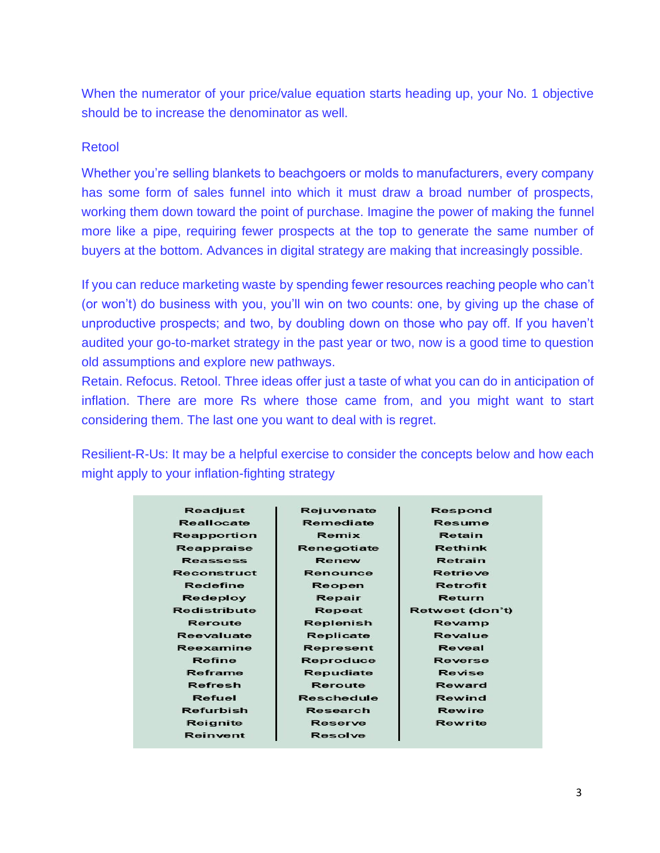When the numerator of your price/value equation starts heading up, your No. 1 objective should be to increase the denominator as well.

#### Retool

Whether you're selling blankets to beachgoers or molds to manufacturers, every company has some form of sales funnel into which it must draw a broad number of prospects, working them down toward the point of purchase. Imagine the power of making the funnel more like a pipe, requiring fewer prospects at the top to generate the same number of buyers at the bottom. Advances in digital strategy are making that increasingly possible.

If you can [reduce marketing waste](https://www.smartbrief.com/resources) by spending fewer resources reaching people who can't (or won't) do business with you, you'll win on two counts: one, by giving up the chase of unproductive prospects; and two, by doubling down on those who pay off. If you haven't audited your go-to-market strategy in the past year or two, now is a good time to question old assumptions and explore new pathways.

Retain. Refocus. Retool. Three ideas offer just a taste of what you can do in anticipation of inflation. There are more Rs where those came from, and you might want to start considering them. The last one you want to deal with is regret.

Resilient-R-Us: It may be a helpful exercise to consider the concepts below and how each might apply to your inflation-fighting strategy

| <b>Readjust</b>    | Rejuvenate        | Respond         |
|--------------------|-------------------|-----------------|
| <b>Reallocate</b>  | Remediate         | <b>Resume</b>   |
| <b>Reapportion</b> | Remix             | Retain          |
|                    |                   |                 |
| Reappraise         | Renegotiate       | <b>Rethink</b>  |
| <b>Reassess</b>    | Renew             | Retrain         |
| Reconstruct        | Renounce          | <b>Retrieve</b> |
| Redefine           | Reopen            | <b>Retrofit</b> |
| <b>Redeploy</b>    | Repair            | Return          |
| Redistribute       | Repeat            | Retweet (don't) |
| Reroute            | Replenish         | Revamp          |
| Reevaluate         | Replicate         | Revalue         |
| Reexamine          | <b>Represent</b>  | Reveal          |
| Refine             | <b>Reproduce</b>  | <b>Reverse</b>  |
| Reframe            | Repudiate         | Revise          |
| <b>Refresh</b>     | Reroute           | Reward          |
| Refuel             | <b>Reschedule</b> | Rewind          |
| Refurbish          | Research          | Rewire          |
| Reignite           | <b>Reserve</b>    | <b>Rewrite</b>  |
| Reinvent           | <b>Resolve</b>    |                 |
|                    |                   |                 |